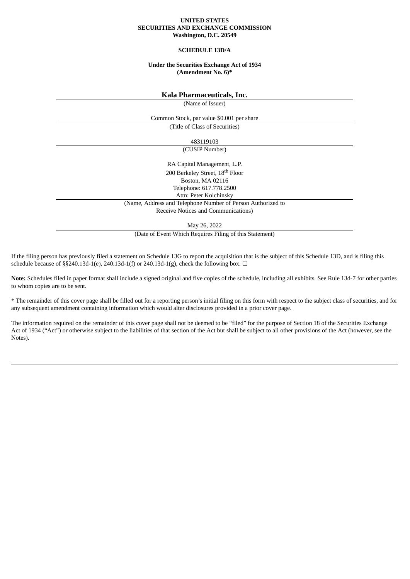### **UNITED STATES SECURITIES AND EXCHANGE COMMISSION Washington, D.C. 20549**

#### **SCHEDULE 13D/A**

## **Under the Securities Exchange Act of 1934 (Amendment No. 6)\***

**Kala Pharmaceuticals, Inc.**

(Name of Issuer)

Common Stock, par value \$0.001 per share

(Title of Class of Securities)

483119103

(CUSIP Number)

RA Capital Management, L.P. 200 Berkeley Street, 18<sup>th</sup> Floor Boston, MA 02116 Telephone: 617.778.2500 Attn: Peter Kolchinsky (Name, Address and Telephone Number of Person Authorized to

Receive Notices and Communications)

May 26, 2022

(Date of Event Which Requires Filing of this Statement)

If the filing person has previously filed a statement on Schedule 13G to report the acquisition that is the subject of this Schedule 13D, and is filing this schedule because of §§240.13d-1(e), 240.13d-1(f) or 240.13d-1(g), check the following box.  $\Box$ 

**Note:** Schedules filed in paper format shall include a signed original and five copies of the schedule, including all exhibits. See Rule 13d-7 for other parties to whom copies are to be sent.

\* The remainder of this cover page shall be filled out for a reporting person's initial filing on this form with respect to the subject class of securities, and for any subsequent amendment containing information which would alter disclosures provided in a prior cover page.

The information required on the remainder of this cover page shall not be deemed to be "filed" for the purpose of Section 18 of the Securities Exchange Act of 1934 ("Act") or otherwise subject to the liabilities of that section of the Act but shall be subject to all other provisions of the Act (however, see the Notes).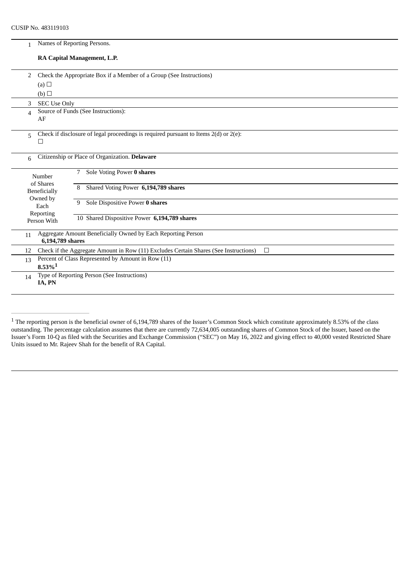| 1              | Names of Reporting Persons.                                                                    |  |  |  |  |  |
|----------------|------------------------------------------------------------------------------------------------|--|--|--|--|--|
|                | RA Capital Management, L.P.                                                                    |  |  |  |  |  |
| 2              | Check the Appropriate Box if a Member of a Group (See Instructions)                            |  |  |  |  |  |
|                | (a) $\Box$<br>(b)                                                                              |  |  |  |  |  |
| 3              | <b>SEC Use Only</b>                                                                            |  |  |  |  |  |
| $\Delta$<br>AF | Source of Funds (See Instructions):                                                            |  |  |  |  |  |
| 5<br>П         | Check if disclosure of legal proceedings is required pursuant to Items 2(d) or 2(e):           |  |  |  |  |  |
| 6              | Citizenship or Place of Organization. Delaware                                                 |  |  |  |  |  |
|                | Sole Voting Power 0 shares<br>7<br>Number<br>of Shares                                         |  |  |  |  |  |
|                | Shared Voting Power 6,194,789 shares<br>8<br>Beneficially<br>Owned by                          |  |  |  |  |  |
|                | Sole Dispositive Power 0 shares<br>9<br>Each<br>Reporting                                      |  |  |  |  |  |
|                | 10 Shared Dispositive Power 6,194,789 shares<br>Person With                                    |  |  |  |  |  |
| 11             | Aggregate Amount Beneficially Owned by Each Reporting Person<br>6,194,789 shares               |  |  |  |  |  |
| 12             | Check if the Aggregate Amount in Row (11) Excludes Certain Shares (See Instructions)<br>$\Box$ |  |  |  |  |  |
| 13             | Percent of Class Represented by Amount in Row (11)<br>$8.53\%$ <sup>1</sup>                    |  |  |  |  |  |
| 14             | Type of Reporting Person (See Instructions)<br>IA, PN                                          |  |  |  |  |  |

 $1$  The reporting person is the beneficial owner of 6,194,789 shares of the Issuer's Common Stock which constitute approximately 8.53% of the class outstanding. The percentage calculation assumes that there are currently 72,634,005 outstanding shares of Common Stock of the Issuer, based on the Issuer's Form 10-Q as filed with the Securities and Exchange Commission ("SEC") on May 16, 2022 and giving effect to 40,000 vested Restricted Share Units issued to Mr. Rajeev Shah for the benefit of RA Capital.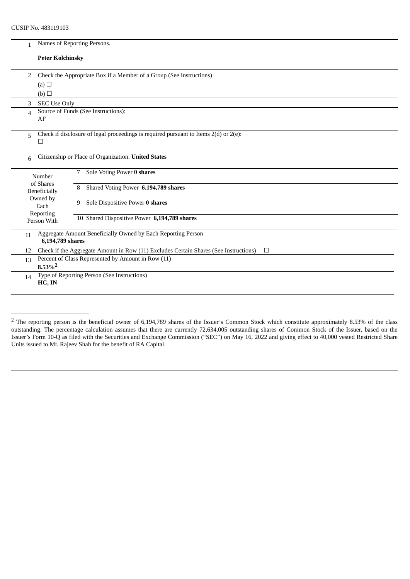| $\mathbf{1}$                                                                      | Names of Reporting Persons.                                                                    |  |  |  |  |  |
|-----------------------------------------------------------------------------------|------------------------------------------------------------------------------------------------|--|--|--|--|--|
| <b>Peter Kolchinsky</b>                                                           |                                                                                                |  |  |  |  |  |
| 2                                                                                 | Check the Appropriate Box if a Member of a Group (See Instructions)                            |  |  |  |  |  |
| (a) $\Box$                                                                        |                                                                                                |  |  |  |  |  |
| (b)                                                                               |                                                                                                |  |  |  |  |  |
| 3<br><b>SEC Use Only</b>                                                          |                                                                                                |  |  |  |  |  |
| $\overline{\mathcal{A}}$<br>AF                                                    | Source of Funds (See Instructions):                                                            |  |  |  |  |  |
| 5<br>$\Box$                                                                       | Check if disclosure of legal proceedings is required pursuant to Items $2(d)$ or $2(e)$ :      |  |  |  |  |  |
| 6                                                                                 | Citizenship or Place of Organization. United States                                            |  |  |  |  |  |
| Number<br>of Shares                                                               | Sole Voting Power 0 shares<br>7                                                                |  |  |  |  |  |
| Beneficially<br>Owned by                                                          | Shared Voting Power 6,194,789 shares<br>8                                                      |  |  |  |  |  |
| Each<br>Reporting                                                                 | Sole Dispositive Power 0 shares<br>9                                                           |  |  |  |  |  |
| Person With                                                                       | 10 Shared Dispositive Power 6,194,789 shares                                                   |  |  |  |  |  |
| 11<br>6,194,789 shares                                                            | Aggregate Amount Beneficially Owned by Each Reporting Person                                   |  |  |  |  |  |
| 12                                                                                | Check if the Aggregate Amount in Row (11) Excludes Certain Shares (See Instructions)<br>$\Box$ |  |  |  |  |  |
| Percent of Class Represented by Amount in Row (11)<br>13<br>$8.53\%$ <sup>2</sup> |                                                                                                |  |  |  |  |  |
| 14<br>HC, IN                                                                      | Type of Reporting Person (See Instructions)                                                    |  |  |  |  |  |

<sup>&</sup>lt;sup>2</sup> The reporting person is the beneficial owner of 6,194,789 shares of the Issuer's Common Stock which constitute approximately 8.53% of the class outstanding. The percentage calculation assumes that there are currently 72,634,005 outstanding shares of Common Stock of the Issuer, based on the Issuer's Form 10-Q as filed with the Securities and Exchange Commission ("SEC") on May 16, 2022 and giving effect to 40,000 vested Restricted Share Units issued to Mr. Rajeev Shah for the benefit of RA Capital.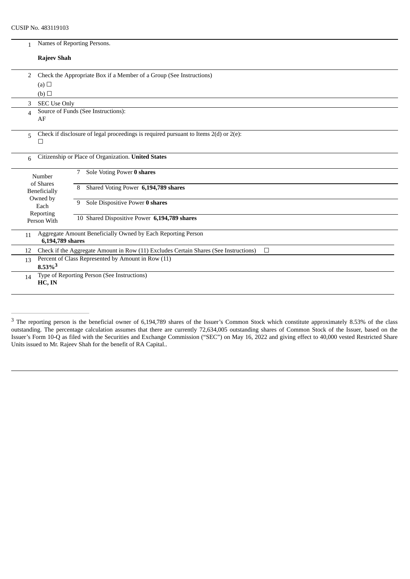| 1                                                                                                    |                       | Names of Reporting Persons.                                                               |  |  |  |  |
|------------------------------------------------------------------------------------------------------|-----------------------|-------------------------------------------------------------------------------------------|--|--|--|--|
|                                                                                                      | <b>Rajeev Shah</b>    |                                                                                           |  |  |  |  |
| 2                                                                                                    |                       | Check the Appropriate Box if a Member of a Group (See Instructions)                       |  |  |  |  |
|                                                                                                      | (a) $\Box$            |                                                                                           |  |  |  |  |
|                                                                                                      | (b)                   |                                                                                           |  |  |  |  |
| 3                                                                                                    | <b>SEC Use Only</b>   |                                                                                           |  |  |  |  |
| $\overline{\mathcal{A}}$                                                                             |                       | Source of Funds (See Instructions):                                                       |  |  |  |  |
|                                                                                                      | AF                    |                                                                                           |  |  |  |  |
| 5                                                                                                    | Ш                     | Check if disclosure of legal proceedings is required pursuant to Items $2(d)$ or $2(e)$ : |  |  |  |  |
|                                                                                                      |                       |                                                                                           |  |  |  |  |
| 6                                                                                                    |                       | Citizenship or Place of Organization. United States                                       |  |  |  |  |
|                                                                                                      | Number                | Sole Voting Power 0 shares<br>7                                                           |  |  |  |  |
|                                                                                                      | of Shares             | Shared Voting Power 6,194,789 shares<br>8                                                 |  |  |  |  |
|                                                                                                      | <b>Beneficially</b>   |                                                                                           |  |  |  |  |
|                                                                                                      | Owned by<br>Each      | Sole Dispositive Power 0 shares<br>9                                                      |  |  |  |  |
|                                                                                                      | Reporting             | 10 Shared Dispositive Power 6,194,789 shares                                              |  |  |  |  |
|                                                                                                      | Person With           |                                                                                           |  |  |  |  |
| 11                                                                                                   | 6,194,789 shares      | Aggregate Amount Beneficially Owned by Each Reporting Person                              |  |  |  |  |
| Check if the Aggregate Amount in Row (11) Excludes Certain Shares (See Instructions)<br>$\Box$<br>12 |                       |                                                                                           |  |  |  |  |
| 13                                                                                                   | $8.53\%$ <sup>3</sup> | Percent of Class Represented by Amount in Row (11)                                        |  |  |  |  |
|                                                                                                      |                       | Type of Reporting Person (See Instructions)                                               |  |  |  |  |
| 14                                                                                                   | HC, IN                |                                                                                           |  |  |  |  |
|                                                                                                      |                       |                                                                                           |  |  |  |  |

<sup>&</sup>lt;sup>3</sup> The reporting person is the beneficial owner of 6,194,789 shares of the Issuer's Common Stock which constitute approximately 8.53% of the class outstanding. The percentage calculation assumes that there are currently 72,634,005 outstanding shares of Common Stock of the Issuer, based on the Issuer's Form 10-Q as filed with the Securities and Exchange Commission ("SEC") on May 16, 2022 and giving effect to 40,000 vested Restricted Share Units issued to Mr. Rajeev Shah for the benefit of RA Capital..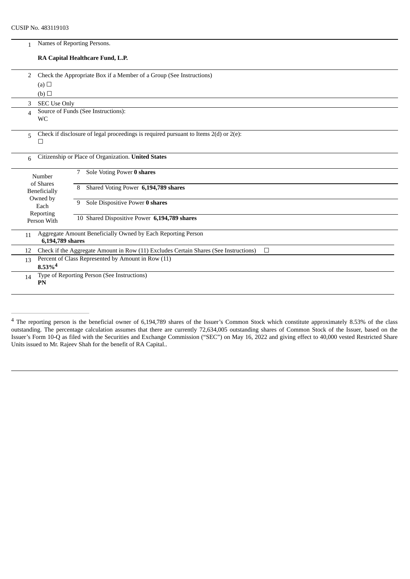| $\mathbf{1}$                                                                                         |                                                                     | Names of Reporting Persons.                                                               |  |  |  |  |  |
|------------------------------------------------------------------------------------------------------|---------------------------------------------------------------------|-------------------------------------------------------------------------------------------|--|--|--|--|--|
|                                                                                                      |                                                                     | RA Capital Healthcare Fund, L.P.                                                          |  |  |  |  |  |
| 2                                                                                                    | Check the Appropriate Box if a Member of a Group (See Instructions) |                                                                                           |  |  |  |  |  |
|                                                                                                      | (a) $\Box$                                                          |                                                                                           |  |  |  |  |  |
|                                                                                                      | (b)                                                                 |                                                                                           |  |  |  |  |  |
| 3                                                                                                    | <b>SEC Use Only</b>                                                 |                                                                                           |  |  |  |  |  |
| $\Delta$                                                                                             | <b>WC</b>                                                           | Source of Funds (See Instructions):                                                       |  |  |  |  |  |
|                                                                                                      |                                                                     |                                                                                           |  |  |  |  |  |
| 5                                                                                                    |                                                                     | Check if disclosure of legal proceedings is required pursuant to Items $2(d)$ or $2(e)$ : |  |  |  |  |  |
|                                                                                                      | □                                                                   |                                                                                           |  |  |  |  |  |
| 6                                                                                                    | Citizenship or Place of Organization. United States                 |                                                                                           |  |  |  |  |  |
|                                                                                                      | Number                                                              | Sole Voting Power 0 shares<br>7                                                           |  |  |  |  |  |
|                                                                                                      | of Shares<br>Beneficially                                           | Shared Voting Power 6,194,789 shares<br>8                                                 |  |  |  |  |  |
|                                                                                                      | Owned by                                                            |                                                                                           |  |  |  |  |  |
|                                                                                                      | Each                                                                | Sole Dispositive Power 0 shares<br>9                                                      |  |  |  |  |  |
|                                                                                                      | Reporting<br>Person With                                            | 10 Shared Dispositive Power 6,194,789 shares                                              |  |  |  |  |  |
|                                                                                                      |                                                                     |                                                                                           |  |  |  |  |  |
| 11                                                                                                   | 6,194,789 shares                                                    | Aggregate Amount Beneficially Owned by Each Reporting Person                              |  |  |  |  |  |
| Check if the Aggregate Amount in Row (11) Excludes Certain Shares (See Instructions)<br>$\Box$<br>12 |                                                                     |                                                                                           |  |  |  |  |  |
| 13                                                                                                   | Percent of Class Represented by Amount in Row (11)                  |                                                                                           |  |  |  |  |  |
|                                                                                                      | $8.53\%$ <sup>4</sup>                                               |                                                                                           |  |  |  |  |  |
| 14                                                                                                   | Type of Reporting Person (See Instructions)<br>PN                   |                                                                                           |  |  |  |  |  |
|                                                                                                      |                                                                     |                                                                                           |  |  |  |  |  |

<sup>&</sup>lt;sup>4</sup> The reporting person is the beneficial owner of 6,194,789 shares of the Issuer's Common Stock which constitute approximately 8.53% of the class outstanding. The percentage calculation assumes that there are currently 72,634,005 outstanding shares of Common Stock of the Issuer, based on the Issuer's Form 10-Q as filed with the Securities and Exchange Commission ("SEC") on May 16, 2022 and giving effect to 40,000 vested Restricted Share Units issued to Mr. Rajeev Shah for the benefit of RA Capital..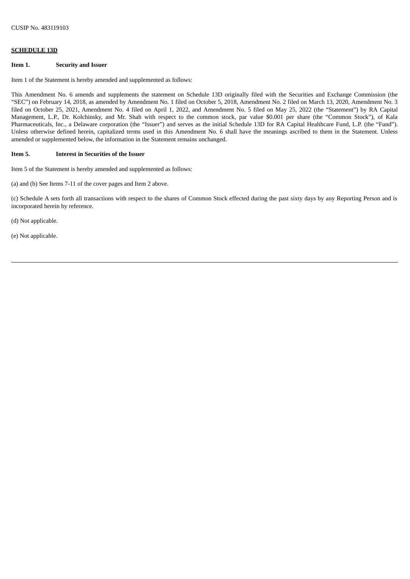# **SCHEDULE 13D**

#### **Item 1. Security and Issuer**

Item 1 of the Statement is hereby amended and supplemented as follows:

This Amendment No. 6 amends and supplements the statement on Schedule 13D originally filed with the Securities and Exchange Commission (the "SEC") on February 14, 2018, as amended by Amendment No. 1 filed on October 5, 2018, Amendment No. 2 filed on March 13, 2020, Amendment No. 3 filed on October 25, 2021, Amendment No. 4 filed on April 1, 2022, and Amendment No. 5 filed on May 25, 2022 (the "Statement") by RA Capital Management, L.P., Dr. Kolchinsky, and Mr. Shah with respect to the common stock, par value \$0.001 per share (the "Common Stock"), of Kala Pharmaceuticals, Inc., a Delaware corporation (the "Issuer") and serves as the initial Schedule 13D for RA Capital Healthcare Fund, L.P. (the "Fund"). Unless otherwise defined herein, capitalized terms used in this Amendment No. 6 shall have the meanings ascribed to them in the Statement. Unless amended or supplemented below, the information in the Statement remains unchanged.

#### **Item 5. Interest in Securities of the Issuer**

Item 5 of the Statement is hereby amended and supplemented as follows:

(a) and (b) See Items 7-11 of the cover pages and Item 2 above.

(c) Schedule A sets forth all transactions with respect to the shares of Common Stock effected during the past sixty days by any Reporting Person and is incorporated herein by reference.

(d) Not applicable.

(e) Not applicable.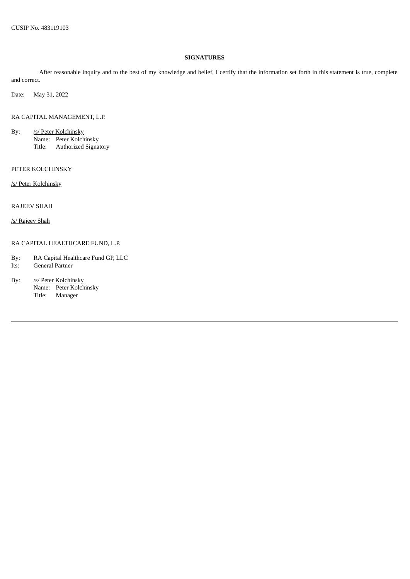# **SIGNATURES**

After reasonable inquiry and to the best of my knowledge and belief, I certify that the information set forth in this statement is true, complete and correct.

Date: May 31, 2022

RA CAPITAL MANAGEMENT, L.P.

- By: /s/ Peter Kolchinsky Name: Peter Kolchinsky Title: Authorized Signatory
- PETER KOLCHINSKY

/s/ Peter Kolchinsky

RAJEEV SHAH

/s/ Rajeev Shah

# RA CAPITAL HEALTHCARE FUND, L.P.

- By: RA Capital Healthcare Fund GP, LLC Its: General Partner
- By: /s/ Peter Kolchinsky Name: Peter Kolchinsky Title: Manager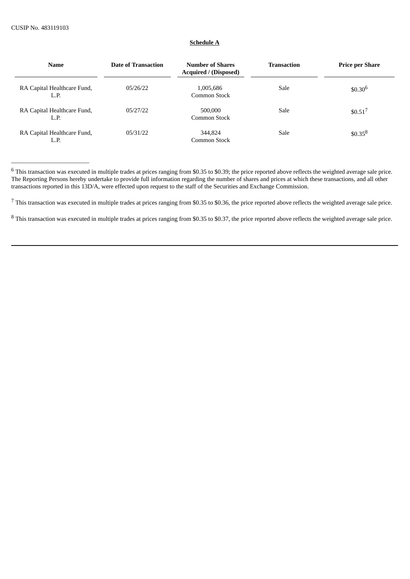# **Schedule A**

| <b>Name</b>                         | <b>Date of Transaction</b> | <b>Number of Shares</b><br>Acquired / (Disposed) | <b>Transaction</b> | <b>Price per Share</b> |
|-------------------------------------|----------------------------|--------------------------------------------------|--------------------|------------------------|
| RA Capital Healthcare Fund,<br>L.P. | 05/26/22                   | 1,005,686<br>Common Stock                        | Sale               | $$0.30^{6}$            |
| RA Capital Healthcare Fund,<br>L.P. | 05/27/22                   | 500,000<br>Common Stock                          | Sale               | \$0.51 <sup>7</sup>    |
| RA Capital Healthcare Fund,<br>L.P. | 05/31/22                   | 344,824<br>Common Stock                          | Sale               | $$0.35^{8}$            |

 $6$  This transaction was executed in multiple trades at prices ranging from \$0.35 to \$0.39; the price reported above reflects the weighted average sale price. The Reporting Persons hereby undertake to provide full information regarding the number of shares and prices at which these transactions, and all other transactions reported in this 13D/A, were effected upon request to the staff of the Securities and Exchange Commission.

 $7$  This transaction was executed in multiple trades at prices ranging from \$0.35 to \$0.36, the price reported above reflects the weighted average sale price.

 $8$  This transaction was executed in multiple trades at prices ranging from \$0.35 to \$0.37, the price reported above reflects the weighted average sale price.